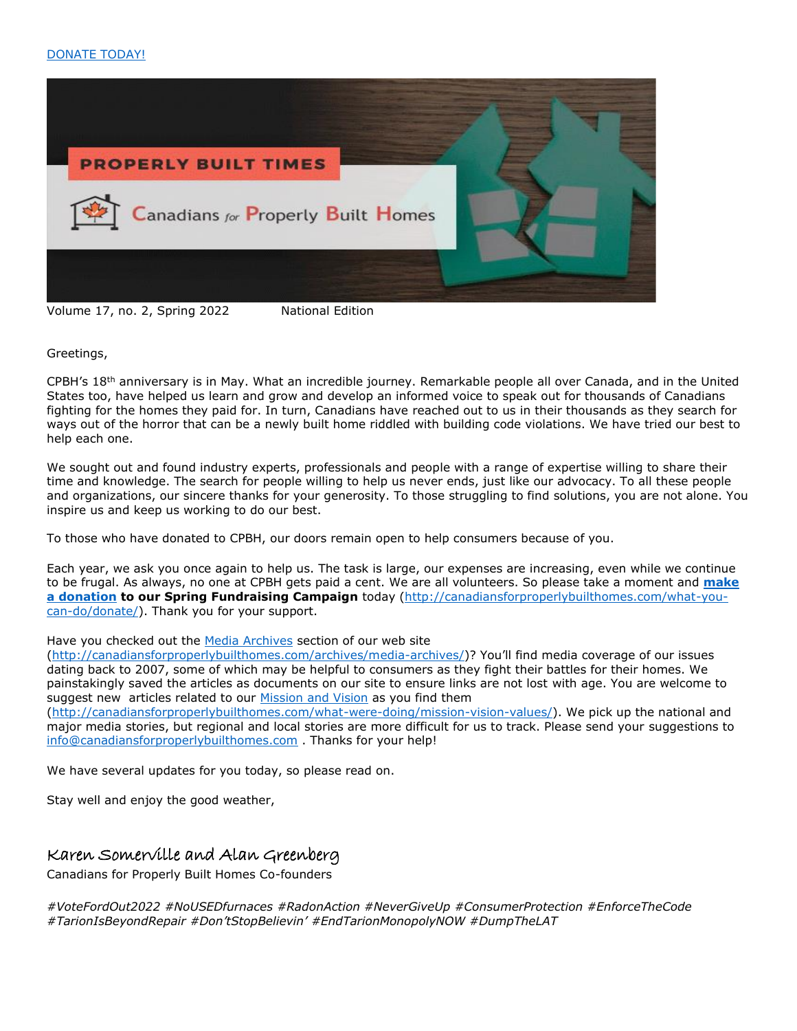

Volume 17, no. 2, Spring 2022 National Edition

Greetings,

CPBH's 18th anniversary is in May. What an incredible journey. Remarkable people all over Canada, and in the United States too, have helped us learn and grow and develop an informed voice to speak out for thousands of Canadians fighting for the homes they paid for. In turn, Canadians have reached out to us in their thousands as they search for ways out of the horror that can be a newly built home riddled with building code violations. We have tried our best to help each one.

We sought out and found industry experts, professionals and people with a range of expertise willing to share their time and knowledge. The search for people willing to help us never ends, just like our advocacy. To all these people and organizations, our sincere thanks for your generosity. To those struggling to find solutions, you are not alone. You inspire us and keep us working to do our best.

To those who have donated to CPBH, our doors remain open to help consumers because of you.

Each year, we ask you once again to help us. The task is large, our expenses are increasing, even while we continue to be frugal. As always, no one at CPBH gets paid a cent. We are all volunteers. So please take a moment and **[make](http://canadiansforproperlybuilthomes.com/what-you-can-do/donate/)  [a donation](http://canadiansforproperlybuilthomes.com/what-you-can-do/donate/) to our Spring Fundraising Campaign** today [\(http://canadiansforproperlybuilthomes.com/what-you](http://canadiansforproperlybuilthomes.com/what-you-can-do/donate/)[can-do/donate/\)](http://canadiansforproperlybuilthomes.com/what-you-can-do/donate/). Thank you for your support.

Have you checked out the [Media Archives](http://canadiansforproperlybuilthomes.com/archives/media-archives/) section of our web site

[\(http://canadiansforproperlybuilthomes.com/archives/media-archives/](http://canadiansforproperlybuilthomes.com/archives/media-archives/))? You'll find media coverage of our issues dating back to 2007, some of which may be helpful to consumers as they fight their battles for their homes. We painstakingly saved the articles as documents on our site to ensure links are not lost with age. You are welcome to suggest new articles related to our [Mission and Vision](http://canadiansforproperlybuilthomes.com/what-were-doing/mission-vision-values/) as you find them [\(http://canadiansforproperlybuilthomes.com/what-were-doing/mission-vision-values/\)](http://canadiansforproperlybuilthomes.com/what-were-doing/mission-vision-values/). We pick up the national and

major media stories, but regional and local stories are more difficult for us to track. Please send your suggestions to [info@canadiansforproperlybuilthomes.com](mailto:info@canadiansforproperlybuilthomes.com) . Thanks for your help!

We have several updates for you today, so please read on.

Stay well and enjoy the good weather,

# Karen Somerville and Alan Greenberg

Canadians for Properly Built Homes Co-founders

*#VoteFordOut2022 #NoUSEDfurnaces #RadonAction #NeverGiveUp #ConsumerProtection #EnforceTheCode #TarionIsBeyondRepair #Don'tStopBelievin' #EndTarionMonopolyNOW #DumpTheLAT*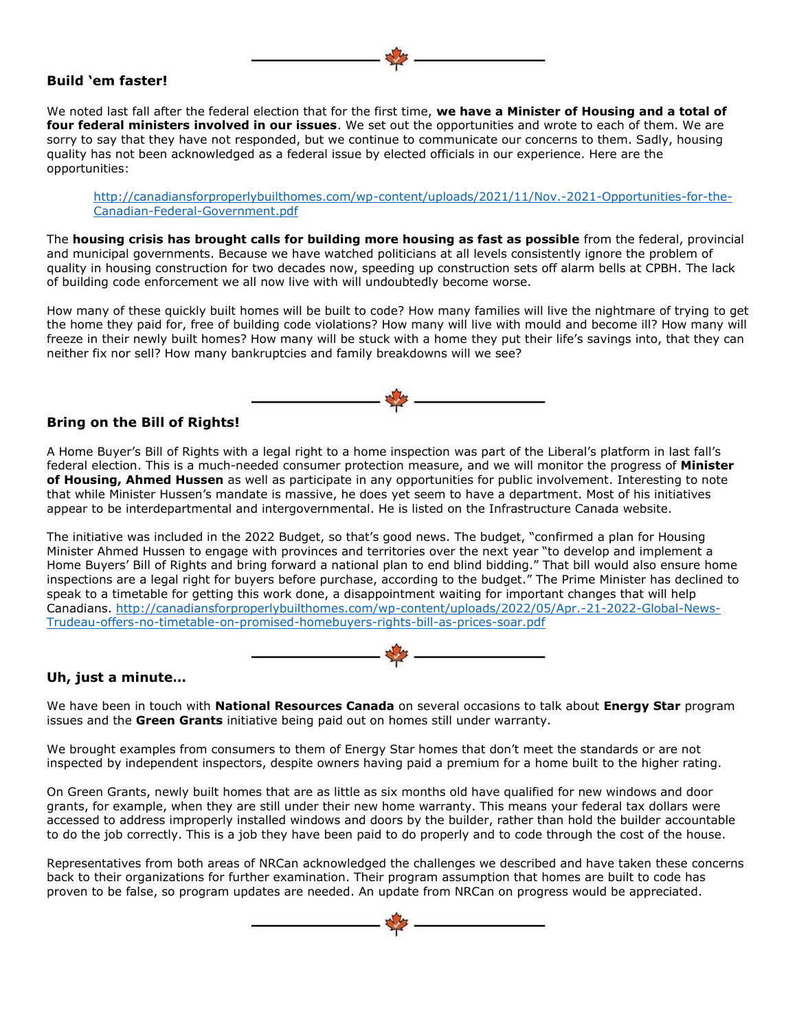#### **Build 'em faster!**

We noted last fall after the federal election that for the first time, **we have a Minister of Housing and a total of four federal ministers involved in our issues**. We set out the opportunities and wrote to each of them. We are sorry to say that they have not responded, but we continue to communicate our concerns to them. Sadly, housing quality has not been acknowledged as a federal issue by elected officials in our experience. Here are the opportunities:

[http://canadiansforproperlybuilthomes.com/wp-content/uploads/2021/11/Nov.-2021-Opportunities-for-the-](http://canadiansforproperlybuilthomes.com/wp-content/uploads/2021/11/Nov.-2021-Opportunities-for-the-Canadian-Federal-Government.pdf)[Canadian-Federal-Government.pdf](http://canadiansforproperlybuilthomes.com/wp-content/uploads/2021/11/Nov.-2021-Opportunities-for-the-Canadian-Federal-Government.pdf)

The **housing crisis has brought calls for building more housing as fast as possible** from the federal, provincial and municipal governments. Because we have watched politicians at all levels consistently ignore the problem of quality in housing construction for two decades now, speeding up construction sets off alarm bells at CPBH. The lack of building code enforcement we all now live with will undoubtedly become worse.

How many of these quickly built homes will be built to code? How many families will live the nightmare of trying to get the home they paid for, free of building code violations? How many will live with mould and become ill? How many will freeze in their newly built homes? How many will be stuck with a home they put their life's savings into, that they can neither fix nor sell? How many bankruptcies and family breakdowns will we see?



#### **Bring on the Bill of Rights!**

A Home Buyer's Bill of Rights with a legal right to a home inspection was part of the Liberal's platform in last fall's federal election. This is a much-needed consumer protection measure, and we will monitor the progress of **Minister of Housing, Ahmed Hussen** as well as participate in any opportunities for public involvement. Interesting to note that while Minister Hussen's mandate is massive, he does yet seem to have a department. Most of his initiatives appear to be interdepartmental and intergovernmental. He is listed on the Infrastructure Canada website.

The initiative was included in the 2022 Budget, so that's good news. The budget, "confirmed a plan for Housing Minister Ahmed Hussen to engage with provinces and territories over the next year "to develop and implement a Home Buyers' Bill of Rights and bring forward a national plan to end blind bidding." That bill would also ensure home inspections are a legal right for buyers before purchase, according to the budget." The Prime Minister has declined to speak to a timetable for getting this work done, a disappointment waiting for important changes that will help Canadians. [http://canadiansforproperlybuilthomes.com/wp-content/uploads/2022/05/Apr.-21-2022-Global-News-](http://canadiansforproperlybuilthomes.com/wp-content/uploads/2022/05/Apr.-21-2022-Global-News-Trudeau-offers-no-timetable-on-promised-homebuyers-rights-bill-as-prices-soar.pdf)[Trudeau-offers-no-timetable-on-promised-homebuyers-rights-bill-as-prices-soar.pdf](http://canadiansforproperlybuilthomes.com/wp-content/uploads/2022/05/Apr.-21-2022-Global-News-Trudeau-offers-no-timetable-on-promised-homebuyers-rights-bill-as-prices-soar.pdf)



# **Uh, just a minute…**

We have been in touch with **National Resources Canada** on several occasions to talk about **Energy Star** program issues and the **Green Grants** initiative being paid out on homes still under warranty.

We brought examples from consumers to them of Energy Star homes that don't meet the standards or are not inspected by independent inspectors, despite owners having paid a premium for a home built to the higher rating.

On Green Grants, newly built homes that are as little as six months old have qualified for new windows and door grants, for example, when they are still under their new home warranty. This means your federal tax dollars were accessed to address improperly installed windows and doors by the builder, rather than hold the builder accountable to do the job correctly. This is a job they have been paid to do properly and to code through the cost of the house.

Representatives from both areas of NRCan acknowledged the challenges we described and have taken these concerns back to their organizations for further examination. Their program assumption that homes are built to code has proven to be false, so program updates are needed. An update from NRCan on progress would be appreciated.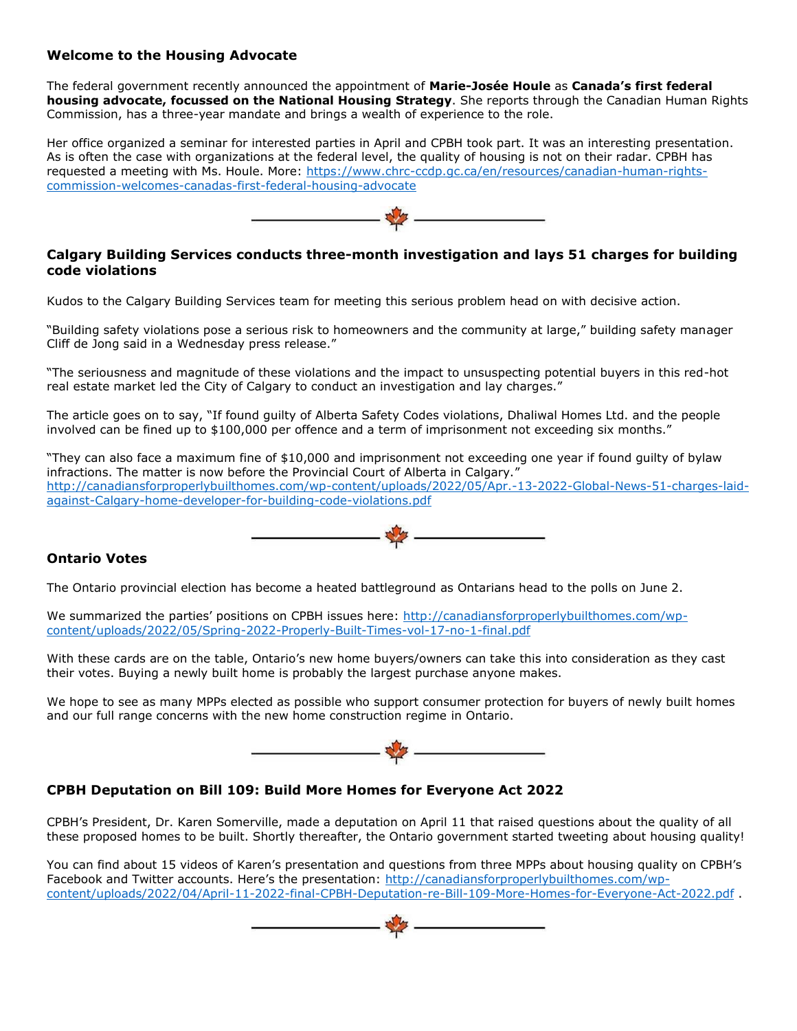# **Welcome to the Housing Advocate**

The federal government recently announced the appointment of **Marie-Josée Houle** as **Canada's first federal housing advocate, focussed on the National Housing Strategy**. She reports through the Canadian Human Rights Commission, has a three-year mandate and brings a wealth of experience to the role.

Her office organized a seminar for interested parties in April and CPBH took part. It was an interesting presentation. As is often the case with organizations at the federal level, the quality of housing is not on their radar. CPBH has requested a meeting with Ms. Houle. More: [https://www.chrc-ccdp.gc.ca/en/resources/canadian-human-rights](https://www.chrc-ccdp.gc.ca/en/resources/canadian-human-rights-commission-welcomes-canadas-first-federal-housing-advocate)[commission-welcomes-canadas-first-federal-housing-advocate](https://www.chrc-ccdp.gc.ca/en/resources/canadian-human-rights-commission-welcomes-canadas-first-federal-housing-advocate)



## **Calgary Building Services conducts three-month investigation and lays 51 charges for building code violations**

Kudos to the Calgary Building Services team for meeting this serious problem head on with decisive action.

"Building safety violations pose a serious risk to homeowners and the community at large," building safety manager Cliff de Jong said in a Wednesday press release."

"The seriousness and magnitude of these violations and the impact to unsuspecting potential buyers in this red-hot real estate market led the City of Calgary to conduct an investigation and lay charges."

The article goes on to say, "If found guilty of Alberta Safety Codes violations, Dhaliwal Homes Ltd. and the people involved can be fined up to \$100,000 per offence and a term of imprisonment not exceeding six months."

"They can also face a maximum fine of \$10,000 and imprisonment not exceeding one year if found guilty of bylaw infractions. The matter is now before the Provincial Court of Alberta in Calgary." [http://canadiansforproperlybuilthomes.com/wp-content/uploads/2022/05/Apr.-13-2022-Global-News-51-charges-laid](http://canadiansforproperlybuilthomes.com/wp-content/uploads/2022/05/Apr.-13-2022-Global-News-51-charges-laid-against-Calgary-home-developer-for-building-code-violations.pdf)[against-Calgary-home-developer-for-building-code-violations.pdf](http://canadiansforproperlybuilthomes.com/wp-content/uploads/2022/05/Apr.-13-2022-Global-News-51-charges-laid-against-Calgary-home-developer-for-building-code-violations.pdf)



# **Ontario Votes**

The Ontario provincial election has become a heated battleground as Ontarians head to the polls on June 2.

We summarized the parties' positions on CPBH issues here: [http://canadiansforproperlybuilthomes.com/wp](http://canadiansforproperlybuilthomes.com/wp-content/uploads/2022/05/Spring-2022-Properly-Built-Times-vol-17-no-1-final.pdf)[content/uploads/2022/05/Spring-2022-Properly-Built-Times-vol-17-no-1-final.pdf](http://canadiansforproperlybuilthomes.com/wp-content/uploads/2022/05/Spring-2022-Properly-Built-Times-vol-17-no-1-final.pdf)

With these cards are on the table, Ontario's new home buyers/owners can take this into consideration as they cast their votes. Buying a newly built home is probably the largest purchase anyone makes.

We hope to see as many MPPs elected as possible who support consumer protection for buyers of newly built homes and our full range concerns with the new home construction regime in Ontario.



# **CPBH Deputation on Bill 109: Build More Homes for Everyone Act 2022**

CPBH's President, Dr. Karen Somerville, made a deputation on April 11 that raised questions about the quality of all these proposed homes to be built. Shortly thereafter, the Ontario government started tweeting about housing quality!

You can find about 15 videos of Karen's presentation and questions from three MPPs about housing quality on CPBH's Facebook and Twitter accounts. Here's the presentation: [http://canadiansforproperlybuilthomes.com/wp](http://canadiansforproperlybuilthomes.com/wp-content/uploads/2022/04/April-11-2022-final-CPBH-Deputation-re-Bill-109-More-Homes-for-Everyone-Act-2022.pdf)[content/uploads/2022/04/April-11-2022-final-CPBH-Deputation-re-Bill-109-More-Homes-for-Everyone-Act-2022.pdf](http://canadiansforproperlybuilthomes.com/wp-content/uploads/2022/04/April-11-2022-final-CPBH-Deputation-re-Bill-109-More-Homes-for-Everyone-Act-2022.pdf) .